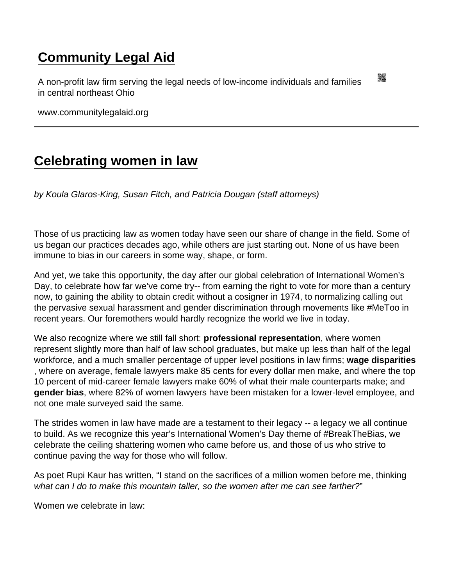## [Community Legal Aid](https://www.communitylegalaid.org/)

A non-profit law firm serving the legal needs of low-income individuals and families in central northeast Ohio

www.communitylegalaid.org

## [Celebrating women in law](https://www.communitylegalaid.org/node/1692/celebrating-women-law)

by Koula Glaros-King, Susan Fitch, and Patricia Dougan (staff attorneys)

Those of us practicing law as women today have seen our share of change in the field. Some of us began our practices decades ago, while others are just starting out. None of us have been immune to bias in our careers in some way, shape, or form.

And yet, we take this opportunity, the day after our global celebration of International Women's Day, to celebrate how far we've come try-- from earning the right to vote for more than a century now, to gaining the ability to obtain credit without a cosigner in 1974, to normalizing calling out the pervasive sexual harassment and gender discrimination through movements like #MeToo in recent years. Our foremothers would hardly recognize the world we live in today.

We also recognize where we still fall short: professional representation, where women represent slightly more than half of law school graduates, but make up less than half of the legal workforce, and a much smaller percentage of upper level positions in law firms; wage disparities , where on average, female lawyers make 85 cents for every dollar men make, and where the top 10 percent of mid-career female lawyers make 60% of what their male counterparts make; and gender bias , where 82% of women lawyers have been mistaken for a lower-level employee, and not one male surveyed said the same.

The strides women in law have made are a testament to their legacy -- a legacy we all continue to build. As we recognize this year's International Women's Day theme of #BreakTheBias, we celebrate the ceiling shattering women who came before us, and those of us who strive to continue paving the way for those who will follow.

As poet Rupi Kaur has written, "I stand on the sacrifices of a million women before me, thinking what can I do to make this mountain taller, so the women after me can see farther?"

Women we celebrate in law: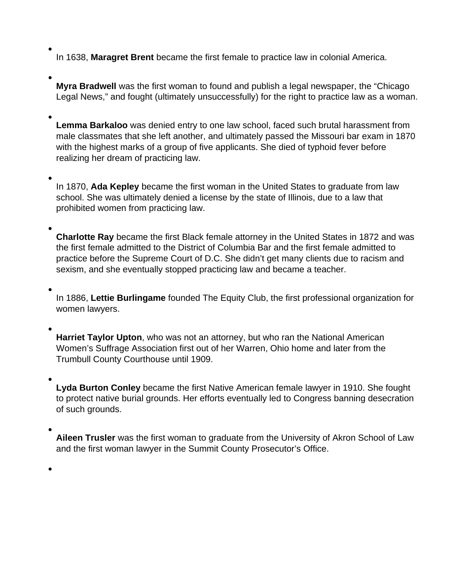In 1638, **Maragret Brent** became the first female to practice law in colonial America.

**Myra Bradwell** was the first woman to found and publish a legal newspaper, the "Chicago Legal News," and fought (ultimately unsuccessfully) for the right to practice law as a woman.

**Lemma Barkaloo** was denied entry to one law school, faced such brutal harassment from male classmates that she left another, and ultimately passed the Missouri bar exam in 1870 with the highest marks of a group of five applicants. She died of typhoid fever before realizing her dream of practicing law.

In 1870, **Ada Kepley** became the first woman in the United States to graduate from law school. She was ultimately denied a license by the state of Illinois, due to a law that prohibited women from practicing law.

**Charlotte Ray** became the first Black female attorney in the United States in 1872 and was the first female admitted to the District of Columbia Bar and the first female admitted to practice before the Supreme Court of D.C. She didn't get many clients due to racism and sexism, and she eventually stopped practicing law and became a teacher.

In 1886, **Lettie Burlingame** founded The Equity Club, the first professional organization for women lawyers.

**Harriet Taylor Upton**, who was not an attorney, but who ran the National American Women's Suffrage Association first out of her Warren, Ohio home and later from the Trumbull County Courthouse until 1909.

**Lyda Burton Conley** became the first Native American female lawyer in 1910. She fought to protect native burial grounds. Her efforts eventually led to Congress banning desecration of such grounds.

**Aileen Trusler** was the first woman to graduate from the University of Akron School of Law and the first woman lawyer in the Summit County Prosecutor's Office.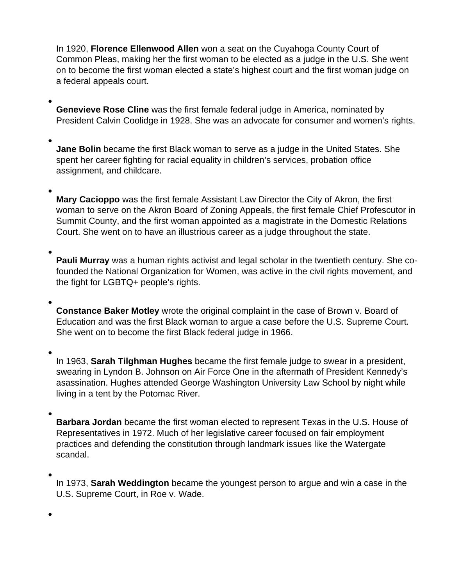In 1920, **Florence Ellenwood Allen** won a seat on the Cuyahoga County Court of Common Pleas, making her the first woman to be elected as a judge in the U.S. She went on to become the first woman elected a state's highest court and the first woman judge on a federal appeals court.

**Genevieve Rose Cline** was the first female federal judge in America, nominated by President Calvin Coolidge in 1928. She was an advocate for consumer and women's rights.

**Jane Bolin** became the first Black woman to serve as a judge in the United States. She spent her career fighting for racial equality in children's services, probation office assignment, and childcare.

**Mary Cacioppo** was the first female Assistant Law Director the City of Akron, the first woman to serve on the Akron Board of Zoning Appeals, the first female Chief Profescutor in Summit County, and the first woman appointed as a magistrate in the Domestic Relations Court. She went on to have an illustrious career as a judge throughout the state.

**Pauli Murray** was a human rights activist and legal scholar in the twentieth century. She cofounded the National Organization for Women, was active in the civil rights movement, and the fight for LGBTQ+ people's rights.

**Constance Baker Motley** wrote the original complaint in the case of Brown v. Board of Education and was the first Black woman to argue a case before the U.S. Supreme Court. She went on to become the first Black federal judge in 1966.

In 1963, **Sarah Tilghman Hughes** became the first female judge to swear in a president, swearing in Lyndon B. Johnson on Air Force One in the aftermath of President Kennedy's asassination. Hughes attended George Washington University Law School by night while living in a tent by the Potomac River.

**Barbara Jordan** became the first woman elected to represent Texas in the U.S. House of Representatives in 1972. Much of her legislative career focused on fair employment practices and defending the constitution through landmark issues like the Watergate scandal.

In 1973, **Sarah Weddington** became the youngest person to argue and win a case in the U.S. Supreme Court, in Roe v. Wade.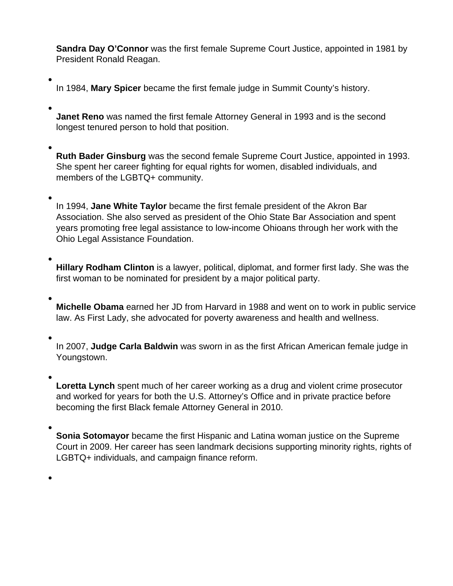**Sandra Day O'Connor** was the first female Supreme Court Justice, appointed in 1981 by President Ronald Reagan.

In 1984, **Mary Spicer** became the first female judge in Summit County's history.

**Janet Reno** was named the first female Attorney General in 1993 and is the second longest tenured person to hold that position.

**Ruth Bader Ginsburg** was the second female Supreme Court Justice, appointed in 1993. She spent her career fighting for equal rights for women, disabled individuals, and members of the LGBTQ+ community.

In 1994, **Jane White Taylor** became the first female president of the Akron Bar Association. She also served as president of the Ohio State Bar Association and spent years promoting free legal assistance to low-income Ohioans through her work with the Ohio Legal Assistance Foundation.

**Hillary Rodham Clinton** is a lawyer, political, diplomat, and former first lady. She was the first woman to be nominated for president by a major political party.

**Michelle Obama** earned her JD from Harvard in 1988 and went on to work in public service law. As First Lady, she advocated for poverty awareness and health and wellness.

In 2007, **Judge Carla Baldwin** was sworn in as the first African American female judge in Youngstown.

**Loretta Lynch** spent much of her career working as a drug and violent crime prosecutor and worked for years for both the U.S. Attorney's Office and in private practice before becoming the first Black female Attorney General in 2010.

**Sonia Sotomayor** became the first Hispanic and Latina woman justice on the Supreme Court in 2009. Her career has seen landmark decisions supporting minority rights, rights of LGBTQ+ individuals, and campaign finance reform.